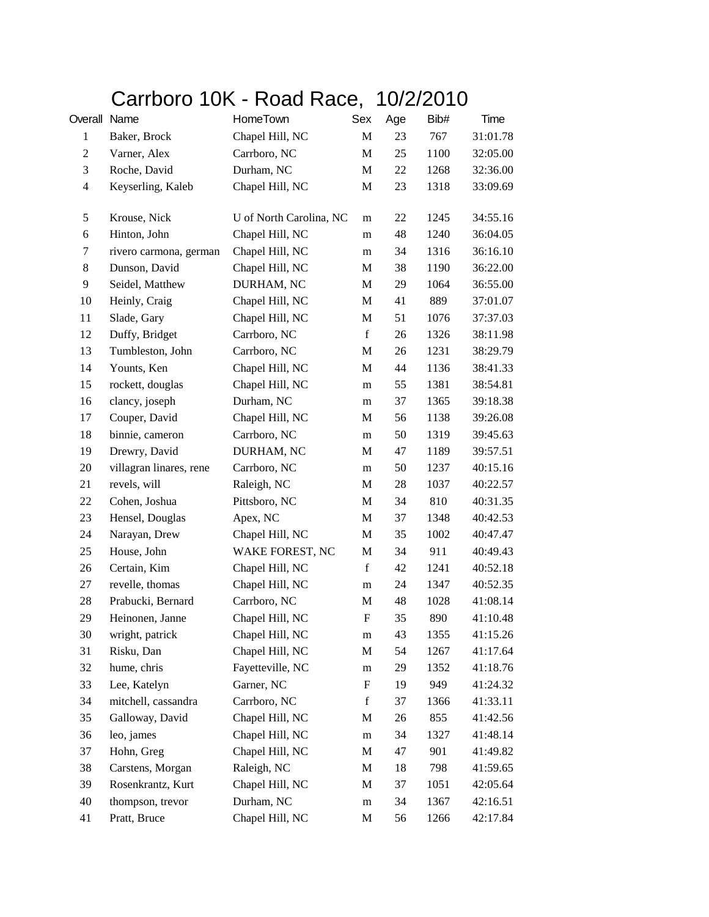## Carrboro 10K - Road Race, 10/2/2010

| Overall          | Name                    | HomeTown                | Sex                       | Age | Bib# | Time     |
|------------------|-------------------------|-------------------------|---------------------------|-----|------|----------|
| $\mathbf{1}$     | Baker, Brock            | Chapel Hill, NC         | M                         | 23  | 767  | 31:01.78 |
| $\boldsymbol{2}$ | Varner, Alex            | Carrboro, NC            | M                         | 25  | 1100 | 32:05.00 |
| 3                | Roche, David            | Durham, NC              | M                         | 22  | 1268 | 32:36.00 |
| $\overline{4}$   | Keyserling, Kaleb       | Chapel Hill, NC         | M                         | 23  | 1318 | 33:09.69 |
| 5                | Krouse, Nick            | U of North Carolina, NC | m                         | 22  | 1245 | 34:55.16 |
| 6                | Hinton, John            | Chapel Hill, NC         | m                         | 48  | 1240 | 36:04.05 |
| 7                | rivero carmona, german  | Chapel Hill, NC         | m                         | 34  | 1316 | 36:16.10 |
| 8                | Dunson, David           | Chapel Hill, NC         | M                         | 38  | 1190 | 36:22.00 |
| 9                | Seidel, Matthew         | DURHAM, NC              | M                         | 29  | 1064 | 36:55.00 |
| 10               | Heinly, Craig           | Chapel Hill, NC         | M                         | 41  | 889  | 37:01.07 |
| 11               | Slade, Gary             | Chapel Hill, NC         | M                         | 51  | 1076 | 37:37.03 |
| 12               | Duffy, Bridget          | Carrboro, NC            | $\mathbf f$               | 26  | 1326 | 38:11.98 |
| 13               | Tumbleston, John        | Carrboro, NC            | M                         | 26  | 1231 | 38:29.79 |
| 14               | Younts, Ken             | Chapel Hill, NC         | M                         | 44  | 1136 | 38:41.33 |
| 15               | rockett, douglas        | Chapel Hill, NC         | m                         | 55  | 1381 | 38:54.81 |
| 16               | clancy, joseph          | Durham, NC              | m                         | 37  | 1365 | 39:18.38 |
| 17               | Couper, David           | Chapel Hill, NC         | M                         | 56  | 1138 | 39:26.08 |
| 18               | binnie, cameron         | Carrboro, NC            | m                         | 50  | 1319 | 39:45.63 |
| 19               | Drewry, David           | DURHAM, NC              | M                         | 47  | 1189 | 39:57.51 |
| 20               | villagran linares, rene | Carrboro, NC            | m                         | 50  | 1237 | 40:15.16 |
| 21               | revels, will            | Raleigh, NC             | M                         | 28  | 1037 | 40:22.57 |
| 22               | Cohen, Joshua           | Pittsboro, NC           | M                         | 34  | 810  | 40:31.35 |
| 23               | Hensel, Douglas         | Apex, NC                | M                         | 37  | 1348 | 40:42.53 |
| 24               | Narayan, Drew           | Chapel Hill, NC         | M                         | 35  | 1002 | 40:47.47 |
| 25               | House, John             | WAKE FOREST, NC         | M                         | 34  | 911  | 40:49.43 |
| 26               | Certain, Kim            | Chapel Hill, NC         | $\mathbf f$               | 42  | 1241 | 40:52.18 |
| 27               | revelle, thomas         | Chapel Hill, NC         | m                         | 24  | 1347 | 40:52.35 |
| 28               | Prabucki, Bernard       | Carrboro, NC            | M                         | 48  | 1028 | 41:08.14 |
| 29               | Heinonen, Janne         | Chapel Hill, NC         | F                         | 35  | 890  | 41:10.48 |
| 30               | wright, patrick         | Chapel Hill, NC         | m                         | 43  | 1355 | 41:15.26 |
| 31               | Risku, Dan              | Chapel Hill, NC         | M                         | 54  | 1267 | 41:17.64 |
| 32               | hume, chris             | Fayetteville, NC        | m                         | 29  | 1352 | 41:18.76 |
| 33               | Lee, Katelyn            | Garner, NC              | $\boldsymbol{\mathrm{F}}$ | 19  | 949  | 41:24.32 |
| 34               | mitchell, cassandra     | Carrboro, NC            | $\mathbf f$               | 37  | 1366 | 41:33.11 |
| 35               | Galloway, David         | Chapel Hill, NC         | M                         | 26  | 855  | 41:42.56 |
| 36               | leo, james              | Chapel Hill, NC         | m                         | 34  | 1327 | 41:48.14 |
| 37               | Hohn, Greg              | Chapel Hill, NC         | M                         | 47  | 901  | 41:49.82 |
| 38               | Carstens, Morgan        | Raleigh, NC             | M                         | 18  | 798  | 41:59.65 |
| 39               | Rosenkrantz, Kurt       | Chapel Hill, NC         | M                         | 37  | 1051 | 42:05.64 |
| 40               | thompson, trevor        | Durham, NC              | ${\rm m}$                 | 34  | 1367 | 42:16.51 |
| 41               | Pratt, Bruce            | Chapel Hill, NC         | M                         | 56  | 1266 | 42:17.84 |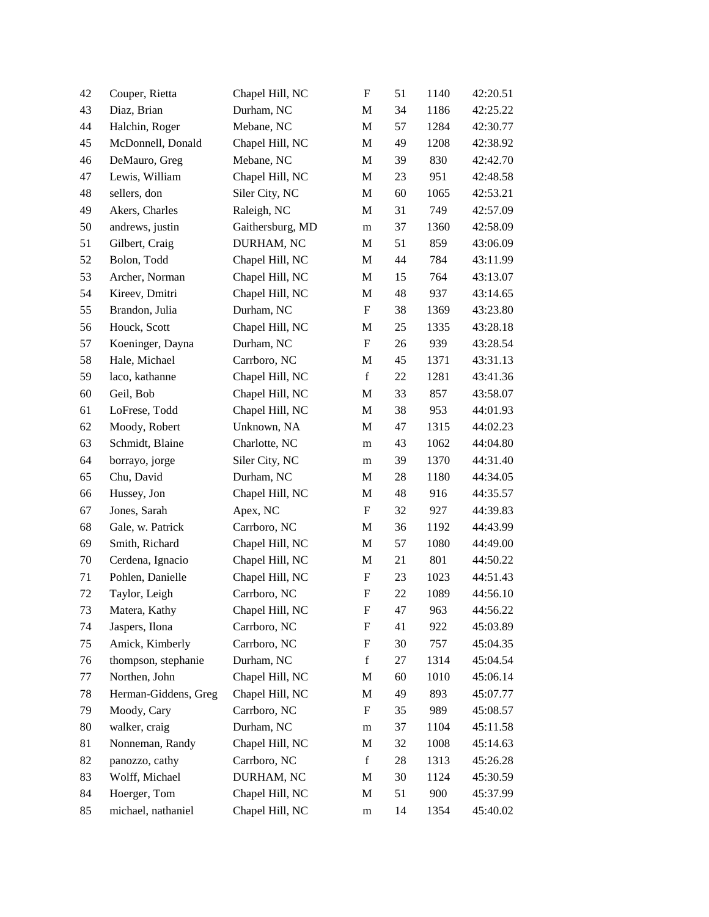| 42     | Couper, Rietta       | Chapel Hill, NC  | $\boldsymbol{\mathrm{F}}$ | 51     | 1140 | 42:20.51 |
|--------|----------------------|------------------|---------------------------|--------|------|----------|
| 43     | Diaz, Brian          | Durham, NC       | M                         | 34     | 1186 | 42:25.22 |
| 44     | Halchin, Roger       | Mebane, NC       | $\mathbf M$               | 57     | 1284 | 42:30.77 |
| 45     | McDonnell, Donald    | Chapel Hill, NC  | M                         | 49     | 1208 | 42:38.92 |
| 46     | DeMauro, Greg        | Mebane, NC       | $\mathbf M$               | 39     | 830  | 42:42.70 |
| 47     | Lewis, William       | Chapel Hill, NC  | M                         | 23     | 951  | 42:48.58 |
| 48     | sellers, don         | Siler City, NC   | M                         | 60     | 1065 | 42:53.21 |
| 49     | Akers, Charles       | Raleigh, NC      | $\mathbf M$               | 31     | 749  | 42:57.09 |
| 50     | andrews, justin      | Gaithersburg, MD | m                         | 37     | 1360 | 42:58.09 |
| 51     | Gilbert, Craig       | DURHAM, NC       | $\mathbf M$               | 51     | 859  | 43:06.09 |
| 52     | Bolon, Todd          | Chapel Hill, NC  | M                         | 44     | 784  | 43:11.99 |
| 53     | Archer, Norman       | Chapel Hill, NC  | M                         | 15     | 764  | 43:13.07 |
| 54     | Kireev, Dmitri       | Chapel Hill, NC  | $\mathbf M$               | 48     | 937  | 43:14.65 |
| 55     | Brandon, Julia       | Durham, NC       | $\boldsymbol{\mathrm{F}}$ | 38     | 1369 | 43:23.80 |
| 56     | Houck, Scott         | Chapel Hill, NC  | $\mathbf M$               | $25\,$ | 1335 | 43:28.18 |
| 57     | Koeninger, Dayna     | Durham, NC       | $\boldsymbol{\mathrm{F}}$ | 26     | 939  | 43:28.54 |
| 58     | Hale, Michael        | Carrboro, NC     | M                         | 45     | 1371 | 43:31.13 |
| 59     | laco, kathanne       | Chapel Hill, NC  | $\mathbf f$               | 22     | 1281 | 43:41.36 |
| 60     | Geil, Bob            | Chapel Hill, NC  | M                         | 33     | 857  | 43:58.07 |
| 61     | LoFrese, Todd        | Chapel Hill, NC  | $\mathbf M$               | 38     | 953  | 44:01.93 |
| 62     | Moody, Robert        | Unknown, NA      | M                         | 47     | 1315 | 44:02.23 |
| 63     | Schmidt, Blaine      | Charlotte, NC    | m                         | 43     | 1062 | 44:04.80 |
| 64     | borrayo, jorge       | Siler City, NC   | m                         | 39     | 1370 | 44:31.40 |
| 65     | Chu, David           | Durham, NC       | M                         | 28     | 1180 | 44:34.05 |
| 66     | Hussey, Jon          | Chapel Hill, NC  | $\mathbf M$               | 48     | 916  | 44:35.57 |
| 67     | Jones, Sarah         | Apex, NC         | $\boldsymbol{\mathrm{F}}$ | 32     | 927  | 44:39.83 |
| 68     | Gale, w. Patrick     | Carrboro, NC     | M                         | 36     | 1192 | 44:43.99 |
| 69     | Smith, Richard       | Chapel Hill, NC  | $\mathbf M$               | 57     | 1080 | 44:49.00 |
| $70\,$ | Cerdena, Ignacio     | Chapel Hill, NC  | M                         | 21     | 801  | 44:50.22 |
| 71     | Pohlen, Danielle     | Chapel Hill, NC  | F                         | 23     | 1023 | 44:51.43 |
| 72     | Taylor, Leigh        | Carrboro, NC     | F                         | 22     | 1089 | 44:56.10 |
| 73     | Matera, Kathy        | Chapel Hill, NC  | F                         | 47     | 963  | 44:56.22 |
| 74     | Jaspers, Ilona       | Carrboro, NC     | F                         | 41     | 922  | 45:03.89 |
| 75     | Amick, Kimberly      | Carrboro, NC     | F                         | 30     | 757  | 45:04.35 |
| 76     | thompson, stephanie  | Durham, NC       | $\mathbf f$               | 27     | 1314 | 45:04.54 |
| 77     | Northen, John        | Chapel Hill, NC  | M                         | 60     | 1010 | 45:06.14 |
| 78     | Herman-Giddens, Greg | Chapel Hill, NC  | M                         | 49     | 893  | 45:07.77 |
| 79     | Moody, Cary          | Carrboro, NC     | F                         | 35     | 989  | 45:08.57 |
| 80     | walker, craig        | Durham, NC       | m                         | 37     | 1104 | 45:11.58 |
| 81     | Nonneman, Randy      | Chapel Hill, NC  | M                         | 32     | 1008 | 45:14.63 |
| 82     | panozzo, cathy       | Carrboro, NC     | $\mathbf f$               | 28     | 1313 | 45:26.28 |
| 83     | Wolff, Michael       | DURHAM, NC       | M                         | 30     | 1124 | 45:30.59 |
| 84     | Hoerger, Tom         | Chapel Hill, NC  | M                         | 51     | 900  | 45:37.99 |
| 85     | michael, nathaniel   | Chapel Hill, NC  | m                         | 14     | 1354 | 45:40.02 |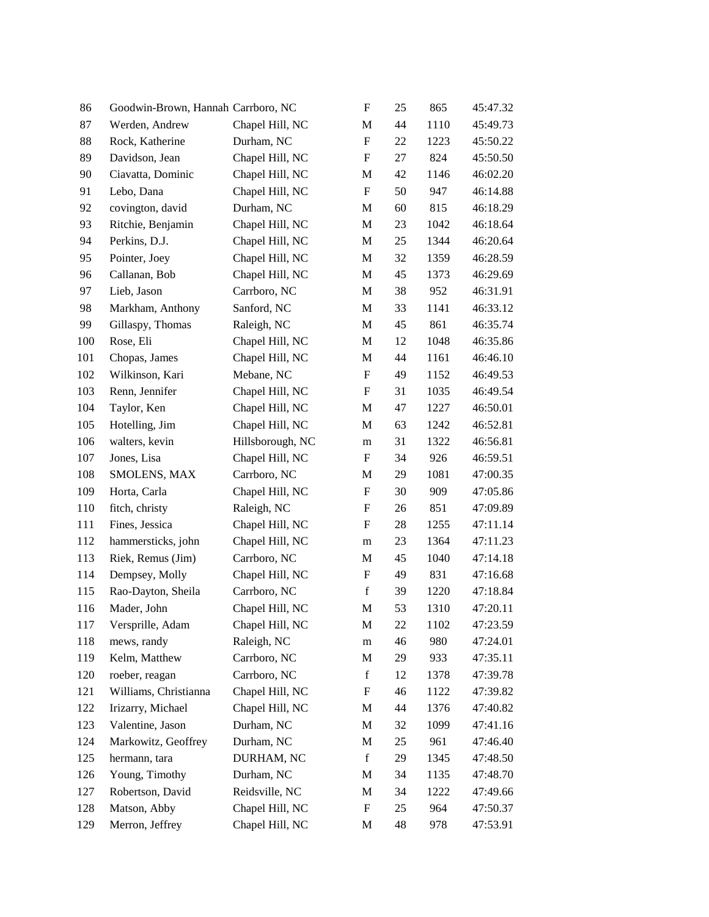| 86  | Goodwin-Brown, Hannah Carrboro, NC |                  | F                         | 25 | 865  | 45:47.32 |
|-----|------------------------------------|------------------|---------------------------|----|------|----------|
| 87  | Werden, Andrew                     | Chapel Hill, NC  | M                         | 44 | 1110 | 45:49.73 |
| 88  | Rock, Katherine                    | Durham, NC       | $\boldsymbol{\mathrm{F}}$ | 22 | 1223 | 45:50.22 |
| 89  | Davidson, Jean                     | Chapel Hill, NC  | F                         | 27 | 824  | 45:50.50 |
| 90  | Ciavatta, Dominic                  | Chapel Hill, NC  | M                         | 42 | 1146 | 46:02.20 |
| 91  | Lebo, Dana                         | Chapel Hill, NC  | $\boldsymbol{\mathrm{F}}$ | 50 | 947  | 46:14.88 |
| 92  | covington, david                   | Durham, NC       | M                         | 60 | 815  | 46:18.29 |
| 93  | Ritchie, Benjamin                  | Chapel Hill, NC  | M                         | 23 | 1042 | 46:18.64 |
| 94  | Perkins, D.J.                      | Chapel Hill, NC  | M                         | 25 | 1344 | 46:20.64 |
| 95  | Pointer, Joey                      | Chapel Hill, NC  | M                         | 32 | 1359 | 46:28.59 |
| 96  | Callanan, Bob                      | Chapel Hill, NC  | M                         | 45 | 1373 | 46:29.69 |
| 97  | Lieb, Jason                        | Carrboro, NC     | M                         | 38 | 952  | 46:31.91 |
| 98  | Markham, Anthony                   | Sanford, NC      | M                         | 33 | 1141 | 46:33.12 |
| 99  | Gillaspy, Thomas                   | Raleigh, NC      | M                         | 45 | 861  | 46:35.74 |
| 100 | Rose, Eli                          | Chapel Hill, NC  | M                         | 12 | 1048 | 46:35.86 |
| 101 | Chopas, James                      | Chapel Hill, NC  | M                         | 44 | 1161 | 46:46.10 |
| 102 | Wilkinson, Kari                    | Mebane, NC       | $\boldsymbol{\mathrm{F}}$ | 49 | 1152 | 46:49.53 |
| 103 | Renn, Jennifer                     | Chapel Hill, NC  | $\boldsymbol{\mathrm{F}}$ | 31 | 1035 | 46:49.54 |
| 104 | Taylor, Ken                        | Chapel Hill, NC  | M                         | 47 | 1227 | 46:50.01 |
| 105 | Hotelling, Jim                     | Chapel Hill, NC  | M                         | 63 | 1242 | 46:52.81 |
| 106 | walters, kevin                     | Hillsborough, NC | m                         | 31 | 1322 | 46:56.81 |
| 107 | Jones, Lisa                        | Chapel Hill, NC  | F                         | 34 | 926  | 46:59.51 |
| 108 | SMOLENS, MAX                       | Carrboro, NC     | M                         | 29 | 1081 | 47:00.35 |
| 109 | Horta, Carla                       | Chapel Hill, NC  | F                         | 30 | 909  | 47:05.86 |
| 110 | fitch, christy                     | Raleigh, NC      | F                         | 26 | 851  | 47:09.89 |
| 111 | Fines, Jessica                     | Chapel Hill, NC  | F                         | 28 | 1255 | 47:11.14 |
| 112 | hammersticks, john                 | Chapel Hill, NC  | m                         | 23 | 1364 | 47:11.23 |
| 113 | Riek, Remus (Jim)                  | Carrboro, NC     | M                         | 45 | 1040 | 47:14.18 |
| 114 | Dempsey, Molly                     | Chapel Hill, NC  | F                         | 49 | 831  | 47:16.68 |
| 115 | Rao-Dayton, Sheila                 | Carrboro, NC     | $\mathbf f$               | 39 | 1220 | 47:18.84 |
| 116 | Mader, John                        | Chapel Hill, NC  | M                         | 53 | 1310 | 47:20.11 |
| 117 | Versprille, Adam                   | Chapel Hill, NC  | M                         | 22 | 1102 | 47:23.59 |
| 118 | mews, randy                        | Raleigh, NC      | ${\rm m}$                 | 46 | 980  | 47:24.01 |
| 119 | Kelm, Matthew                      | Carrboro, NC     | M                         | 29 | 933  | 47:35.11 |
| 120 | roeber, reagan                     | Carrboro, NC     | $\mathbf f$               | 12 | 1378 | 47:39.78 |
| 121 | Williams, Christianna              | Chapel Hill, NC  | $\boldsymbol{F}$          | 46 | 1122 | 47:39.82 |
| 122 | Irizarry, Michael                  | Chapel Hill, NC  | M                         | 44 | 1376 | 47:40.82 |
| 123 | Valentine, Jason                   | Durham, NC       | M                         | 32 | 1099 | 47:41.16 |
| 124 | Markowitz, Geoffrey                | Durham, NC       | M                         | 25 | 961  | 47:46.40 |
| 125 | hermann, tara                      | DURHAM, NC       | $\mathbf f$               | 29 | 1345 | 47:48.50 |
| 126 | Young, Timothy                     | Durham, NC       | M                         | 34 | 1135 | 47:48.70 |
| 127 | Robertson, David                   | Reidsville, NC   | M                         | 34 | 1222 | 47:49.66 |
| 128 | Matson, Abby                       | Chapel Hill, NC  | F                         | 25 | 964  | 47:50.37 |
| 129 | Merron, Jeffrey                    | Chapel Hill, NC  | M                         | 48 | 978  | 47:53.91 |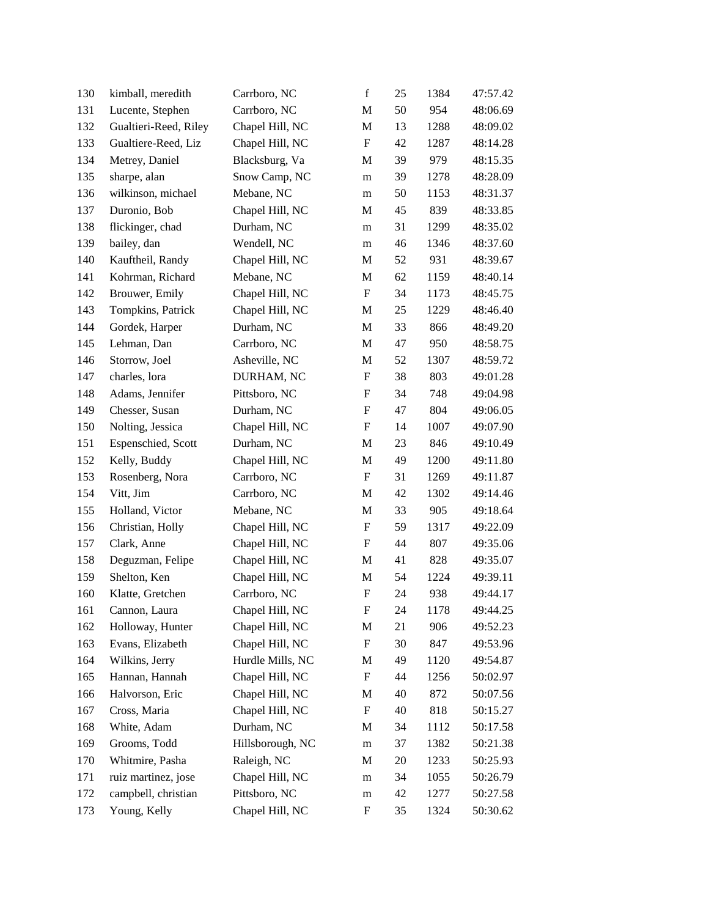| 130 | kimball, meredith     | Carrboro, NC     | $\mathbf f$               | 25 | 1384 | 47:57.42 |
|-----|-----------------------|------------------|---------------------------|----|------|----------|
| 131 | Lucente, Stephen      | Carrboro, NC     | M                         | 50 | 954  | 48:06.69 |
| 132 | Gualtieri-Reed, Riley | Chapel Hill, NC  | $\mathbf M$               | 13 | 1288 | 48:09.02 |
| 133 | Gualtiere-Reed, Liz   | Chapel Hill, NC  | $\boldsymbol{\mathrm{F}}$ | 42 | 1287 | 48:14.28 |
| 134 | Metrey, Daniel        | Blacksburg, Va   | M                         | 39 | 979  | 48:15.35 |
| 135 | sharpe, alan          | Snow Camp, NC    | m                         | 39 | 1278 | 48:28.09 |
| 136 | wilkinson, michael    | Mebane, NC       | m                         | 50 | 1153 | 48:31.37 |
| 137 | Duronio, Bob          | Chapel Hill, NC  | M                         | 45 | 839  | 48:33.85 |
| 138 | flickinger, chad      | Durham, NC       | m                         | 31 | 1299 | 48:35.02 |
| 139 | bailey, dan           | Wendell, NC      | m                         | 46 | 1346 | 48:37.60 |
| 140 | Kauftheil, Randy      | Chapel Hill, NC  | M                         | 52 | 931  | 48:39.67 |
| 141 | Kohrman, Richard      | Mebane, NC       | M                         | 62 | 1159 | 48:40.14 |
| 142 | Brouwer, Emily        | Chapel Hill, NC  | $\boldsymbol{\mathrm{F}}$ | 34 | 1173 | 48:45.75 |
| 143 | Tompkins, Patrick     | Chapel Hill, NC  | M                         | 25 | 1229 | 48:46.40 |
| 144 | Gordek, Harper        | Durham, NC       | M                         | 33 | 866  | 48:49.20 |
| 145 | Lehman, Dan           | Carrboro, NC     | M                         | 47 | 950  | 48:58.75 |
| 146 | Storrow, Joel         | Asheville, NC    | M                         | 52 | 1307 | 48:59.72 |
| 147 | charles, lora         | DURHAM, NC       | $\boldsymbol{\mathrm{F}}$ | 38 | 803  | 49:01.28 |
| 148 | Adams, Jennifer       | Pittsboro, NC    | F                         | 34 | 748  | 49:04.98 |
| 149 | Chesser, Susan        | Durham, NC       | $\boldsymbol{\mathrm{F}}$ | 47 | 804  | 49:06.05 |
| 150 | Nolting, Jessica      | Chapel Hill, NC  | $\boldsymbol{\mathrm{F}}$ | 14 | 1007 | 49:07.90 |
| 151 | Espenschied, Scott    | Durham, NC       | M                         | 23 | 846  | 49:10.49 |
| 152 | Kelly, Buddy          | Chapel Hill, NC  | M                         | 49 | 1200 | 49:11.80 |
| 153 | Rosenberg, Nora       | Carrboro, NC     | F                         | 31 | 1269 | 49:11.87 |
| 154 | Vitt, Jim             | Carrboro, NC     | M                         | 42 | 1302 | 49:14.46 |
| 155 | Holland, Victor       | Mebane, NC       | $\mathbf M$               | 33 | 905  | 49:18.64 |
| 156 | Christian, Holly      | Chapel Hill, NC  | $\boldsymbol{\mathrm{F}}$ | 59 | 1317 | 49:22.09 |
| 157 | Clark, Anne           | Chapel Hill, NC  | $\boldsymbol{\mathrm{F}}$ | 44 | 807  | 49:35.06 |
| 158 | Deguzman, Felipe      | Chapel Hill, NC  | M                         | 41 | 828  | 49:35.07 |
| 159 | Shelton, Ken          | Chapel Hill, NC  | $\mathbf M$               | 54 | 1224 | 49:39.11 |
| 160 | Klatte, Gretchen      | Carrboro, NC     | $\boldsymbol{\mathrm{F}}$ | 24 | 938  | 49:44.17 |
| 161 | Cannon, Laura         | Chapel Hill, NC  | F                         | 24 | 1178 | 49:44.25 |
| 162 | Holloway, Hunter      | Chapel Hill, NC  | M                         | 21 | 906  | 49:52.23 |
| 163 | Evans, Elizabeth      | Chapel Hill, NC  | $\boldsymbol{F}$          | 30 | 847  | 49:53.96 |
| 164 | Wilkins, Jerry        | Hurdle Mills, NC | M                         | 49 | 1120 | 49:54.87 |
| 165 | Hannan, Hannah        | Chapel Hill, NC  | $\boldsymbol{\mathrm{F}}$ | 44 | 1256 | 50:02.97 |
| 166 | Halvorson, Eric       | Chapel Hill, NC  | M                         | 40 | 872  | 50:07.56 |
| 167 | Cross, Maria          | Chapel Hill, NC  | $\boldsymbol{\mathrm{F}}$ | 40 | 818  | 50:15.27 |
| 168 | White, Adam           | Durham, NC       | M                         | 34 | 1112 | 50:17.58 |
| 169 | Grooms, Todd          | Hillsborough, NC | m                         | 37 | 1382 | 50:21.38 |
| 170 | Whitmire, Pasha       | Raleigh, NC      | M                         | 20 | 1233 | 50:25.93 |
| 171 | ruiz martinez, jose   | Chapel Hill, NC  | m                         | 34 | 1055 | 50:26.79 |
| 172 | campbell, christian   | Pittsboro, NC    | m                         | 42 | 1277 | 50:27.58 |
| 173 | Young, Kelly          | Chapel Hill, NC  | F                         | 35 | 1324 | 50:30.62 |
|     |                       |                  |                           |    |      |          |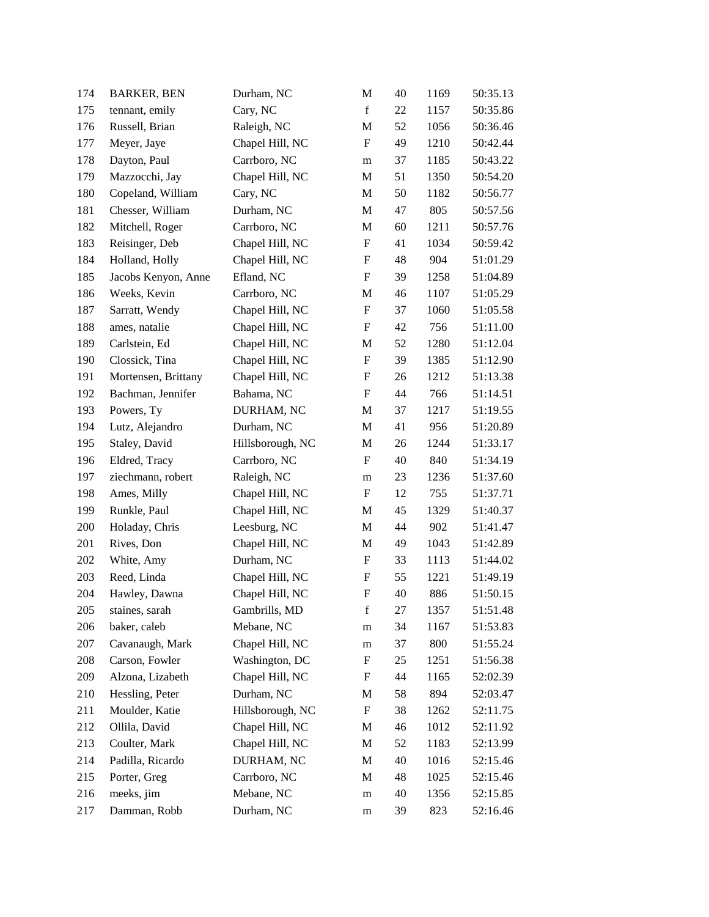| 174 | <b>BARKER, BEN</b>  | Durham, NC       | M                         | 40 | 1169 | 50:35.13 |
|-----|---------------------|------------------|---------------------------|----|------|----------|
| 175 | tennant, emily      | Cary, NC         | $\mathbf f$               | 22 | 1157 | 50:35.86 |
| 176 | Russell, Brian      | Raleigh, NC      | $\mathbf M$               | 52 | 1056 | 50:36.46 |
| 177 | Meyer, Jaye         | Chapel Hill, NC  | $\boldsymbol{\mathrm{F}}$ | 49 | 1210 | 50:42.44 |
| 178 | Dayton, Paul        | Carrboro, NC     | m                         | 37 | 1185 | 50:43.22 |
| 179 | Mazzocchi, Jay      | Chapel Hill, NC  | M                         | 51 | 1350 | 50:54.20 |
| 180 | Copeland, William   | Cary, NC         | M                         | 50 | 1182 | 50:56.77 |
| 181 | Chesser, William    | Durham, NC       | $\mathbf M$               | 47 | 805  | 50:57.56 |
| 182 | Mitchell, Roger     | Carrboro, NC     | M                         | 60 | 1211 | 50:57.76 |
| 183 | Reisinger, Deb      | Chapel Hill, NC  | $\boldsymbol{\mathrm{F}}$ | 41 | 1034 | 50:59.42 |
| 184 | Holland, Holly      | Chapel Hill, NC  | $\boldsymbol{\mathrm{F}}$ | 48 | 904  | 51:01.29 |
| 185 | Jacobs Kenyon, Anne | Efland, NC       | F                         | 39 | 1258 | 51:04.89 |
| 186 | Weeks, Kevin        | Carrboro, NC     | M                         | 46 | 1107 | 51:05.29 |
| 187 | Sarratt, Wendy      | Chapel Hill, NC  | $\boldsymbol{\mathrm{F}}$ | 37 | 1060 | 51:05.58 |
| 188 | ames, natalie       | Chapel Hill, NC  | F                         | 42 | 756  | 51:11.00 |
| 189 | Carlstein, Ed       | Chapel Hill, NC  | $\mathbf M$               | 52 | 1280 | 51:12.04 |
| 190 | Clossick, Tina      | Chapel Hill, NC  | $\boldsymbol{\mathrm{F}}$ | 39 | 1385 | 51:12.90 |
| 191 | Mortensen, Brittany | Chapel Hill, NC  | $\boldsymbol{\mathrm{F}}$ | 26 | 1212 | 51:13.38 |
| 192 | Bachman, Jennifer   | Bahama, NC       | F                         | 44 | 766  | 51:14.51 |
| 193 | Powers, Ty          | DURHAM, NC       | M                         | 37 | 1217 | 51:19.55 |
| 194 | Lutz, Alejandro     | Durham, NC       | M                         | 41 | 956  | 51:20.89 |
| 195 | Staley, David       | Hillsborough, NC | M                         | 26 | 1244 | 51:33.17 |
| 196 | Eldred, Tracy       | Carrboro, NC     | $\boldsymbol{\mathrm{F}}$ | 40 | 840  | 51:34.19 |
| 197 | ziechmann, robert   | Raleigh, NC      | m                         | 23 | 1236 | 51:37.60 |
| 198 | Ames, Milly         | Chapel Hill, NC  | F                         | 12 | 755  | 51:37.71 |
| 199 | Runkle, Paul        | Chapel Hill, NC  | M                         | 45 | 1329 | 51:40.37 |
| 200 | Holaday, Chris      | Leesburg, NC     | M                         | 44 | 902  | 51:41.47 |
| 201 | Rives, Don          | Chapel Hill, NC  | M                         | 49 | 1043 | 51:42.89 |
| 202 | White, Amy          | Durham, NC       | F                         | 33 | 1113 | 51:44.02 |
| 203 | Reed, Linda         | Chapel Hill, NC  | F                         | 55 | 1221 | 51:49.19 |
| 204 | Hawley, Dawna       | Chapel Hill, NC  | F                         | 40 | 886  | 51:50.15 |
| 205 | staines, sarah      | Gambrills, MD    | f                         | 27 | 1357 | 51:51.48 |
| 206 | baker, caleb        | Mebane, NC       | m                         | 34 | 1167 | 51:53.83 |
| 207 | Cavanaugh, Mark     | Chapel Hill, NC  | m                         | 37 | 800  | 51:55.24 |
| 208 | Carson, Fowler      | Washington, DC   | F                         | 25 | 1251 | 51:56.38 |
| 209 | Alzona, Lizabeth    | Chapel Hill, NC  | F                         | 44 | 1165 | 52:02.39 |
| 210 | Hessling, Peter     | Durham, NC       | M                         | 58 | 894  | 52:03.47 |
| 211 | Moulder, Katie      | Hillsborough, NC | $\boldsymbol{\mathrm{F}}$ | 38 | 1262 | 52:11.75 |
| 212 | Ollila, David       | Chapel Hill, NC  | M                         | 46 | 1012 | 52:11.92 |
| 213 | Coulter, Mark       | Chapel Hill, NC  | M                         | 52 | 1183 | 52:13.99 |
| 214 | Padilla, Ricardo    | DURHAM, NC       | M                         | 40 | 1016 | 52:15.46 |
| 215 | Porter, Greg        | Carrboro, NC     | M                         | 48 | 1025 | 52:15.46 |
| 216 | meeks, jim          | Mebane, NC       | m                         | 40 | 1356 | 52:15.85 |
| 217 | Damman, Robb        | Durham, NC       | ${\rm m}$                 | 39 | 823  | 52:16.46 |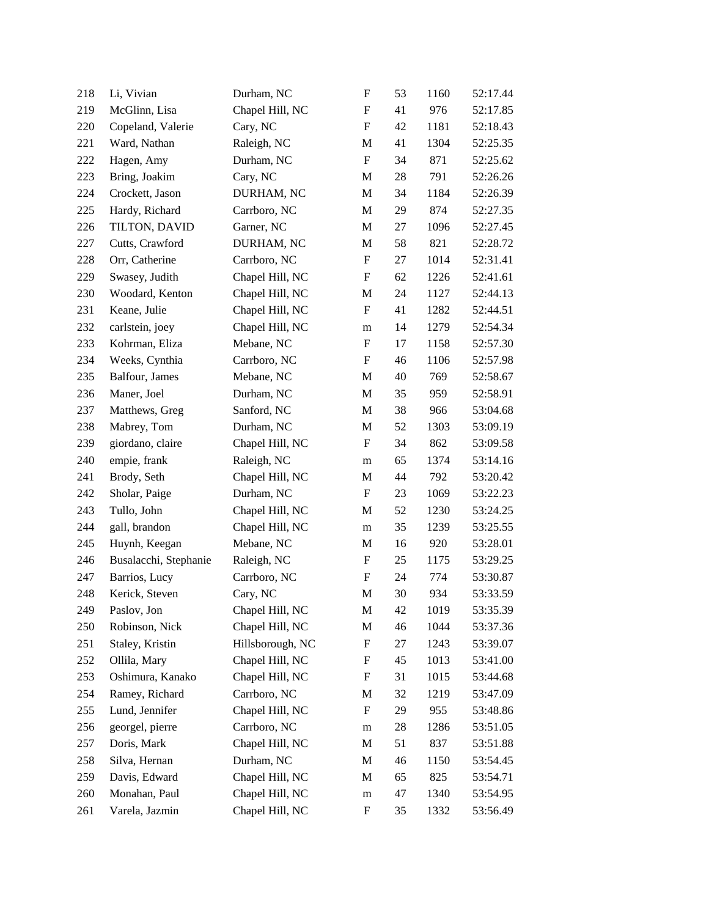| 218 | Li, Vivian            | Durham, NC       | F                         | 53 | 1160 | 52:17.44 |
|-----|-----------------------|------------------|---------------------------|----|------|----------|
| 219 | McGlinn, Lisa         | Chapel Hill, NC  | F                         | 41 | 976  | 52:17.85 |
| 220 | Copeland, Valerie     | Cary, NC         | $\boldsymbol{\mathrm{F}}$ | 42 | 1181 | 52:18.43 |
| 221 | Ward, Nathan          | Raleigh, NC      | M                         | 41 | 1304 | 52:25.35 |
| 222 | Hagen, Amy            | Durham, NC       | $\boldsymbol{\mathrm{F}}$ | 34 | 871  | 52:25.62 |
| 223 | Bring, Joakim         | Cary, NC         | M                         | 28 | 791  | 52:26.26 |
| 224 | Crockett, Jason       | DURHAM, NC       | M                         | 34 | 1184 | 52:26.39 |
| 225 | Hardy, Richard        | Carrboro, NC     | $\mathbf M$               | 29 | 874  | 52:27.35 |
| 226 | TILTON, DAVID         | Garner, NC       | M                         | 27 | 1096 | 52:27.45 |
| 227 | Cutts, Crawford       | DURHAM, NC       | M                         | 58 | 821  | 52:28.72 |
| 228 | Orr, Catherine        | Carrboro, NC     | $\boldsymbol{\mathrm{F}}$ | 27 | 1014 | 52:31.41 |
| 229 | Swasey, Judith        | Chapel Hill, NC  | F                         | 62 | 1226 | 52:41.61 |
| 230 | Woodard, Kenton       | Chapel Hill, NC  | M                         | 24 | 1127 | 52:44.13 |
| 231 | Keane, Julie          | Chapel Hill, NC  | F                         | 41 | 1282 | 52:44.51 |
| 232 | carlstein, joey       | Chapel Hill, NC  | m                         | 14 | 1279 | 52:54.34 |
| 233 | Kohrman, Eliza        | Mebane, NC       | F                         | 17 | 1158 | 52:57.30 |
| 234 | Weeks, Cynthia        | Carrboro, NC     | F                         | 46 | 1106 | 52:57.98 |
| 235 | Balfour, James        | Mebane, NC       | M                         | 40 | 769  | 52:58.67 |
| 236 | Maner, Joel           | Durham, NC       | M                         | 35 | 959  | 52:58.91 |
| 237 | Matthews, Greg        | Sanford, NC      | M                         | 38 | 966  | 53:04.68 |
| 238 | Mabrey, Tom           | Durham, NC       | M                         | 52 | 1303 | 53:09.19 |
| 239 | giordano, claire      | Chapel Hill, NC  | F                         | 34 | 862  | 53:09.58 |
| 240 | empie, frank          | Raleigh, NC      | m                         | 65 | 1374 | 53:14.16 |
| 241 | Brody, Seth           | Chapel Hill, NC  | M                         | 44 | 792  | 53:20.42 |
| 242 | Sholar, Paige         | Durham, NC       | F                         | 23 | 1069 | 53:22.23 |
| 243 | Tullo, John           | Chapel Hill, NC  | M                         | 52 | 1230 | 53:24.25 |
| 244 | gall, brandon         | Chapel Hill, NC  | m                         | 35 | 1239 | 53:25.55 |
| 245 | Huynh, Keegan         | Mebane, NC       | M                         | 16 | 920  | 53:28.01 |
| 246 | Busalacchi, Stephanie | Raleigh, NC      | F                         | 25 | 1175 | 53:29.25 |
| 247 | Barrios, Lucy         | Carrboro, NC     | F                         | 24 | 774  | 53:30.87 |
| 248 | Kerick, Steven        | Cary, NC         | M                         | 30 | 934  | 53:33.59 |
| 249 | Paslov, Jon           | Chapel Hill, NC  | M                         | 42 | 1019 | 53:35.39 |
| 250 | Robinson, Nick        | Chapel Hill, NC  | M                         | 46 | 1044 | 53:37.36 |
| 251 | Staley, Kristin       | Hillsborough, NC | F                         | 27 | 1243 | 53:39.07 |
| 252 | Ollila, Mary          | Chapel Hill, NC  | F                         | 45 | 1013 | 53:41.00 |
| 253 | Oshimura, Kanako      | Chapel Hill, NC  | F                         | 31 | 1015 | 53:44.68 |
| 254 | Ramey, Richard        | Carrboro, NC     | M                         | 32 | 1219 | 53:47.09 |
| 255 | Lund, Jennifer        | Chapel Hill, NC  | $\boldsymbol{\mathrm{F}}$ | 29 | 955  | 53:48.86 |
| 256 | georgel, pierre       | Carrboro, NC     | m                         | 28 | 1286 | 53:51.05 |
| 257 | Doris, Mark           | Chapel Hill, NC  | M                         | 51 | 837  | 53:51.88 |
| 258 | Silva, Hernan         | Durham, NC       | M                         | 46 | 1150 | 53:54.45 |
| 259 | Davis, Edward         | Chapel Hill, NC  | M                         | 65 | 825  | 53:54.71 |
| 260 | Monahan, Paul         | Chapel Hill, NC  | m                         | 47 | 1340 | 53:54.95 |
| 261 | Varela, Jazmin        | Chapel Hill, NC  | $\boldsymbol{\mathrm{F}}$ | 35 | 1332 | 53:56.49 |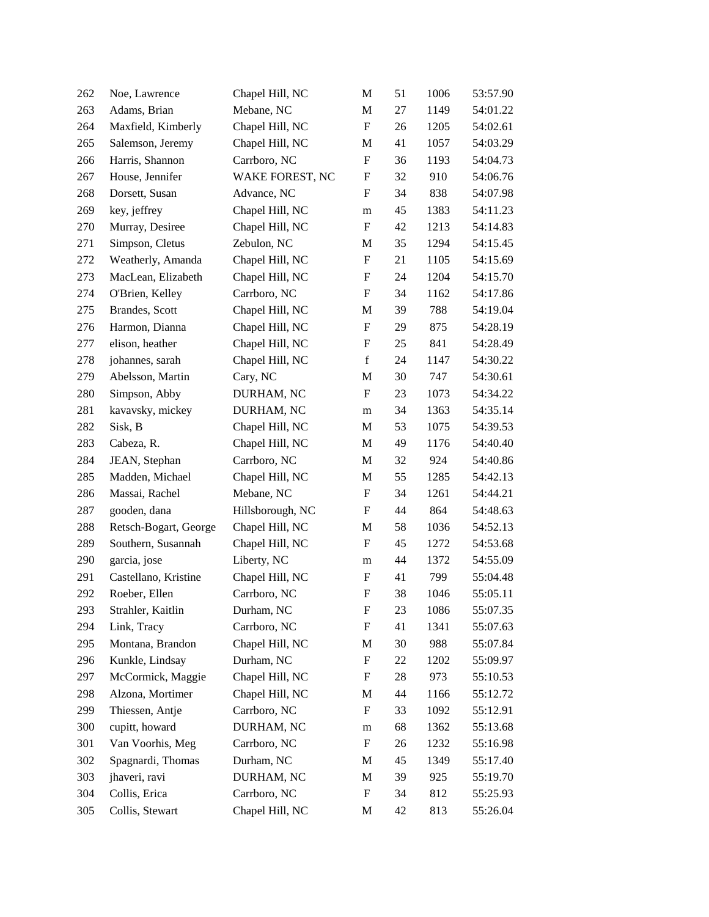| 262 | Noe, Lawrence         | Chapel Hill, NC  | M                         | 51 | 1006 | 53:57.90 |
|-----|-----------------------|------------------|---------------------------|----|------|----------|
| 263 | Adams, Brian          | Mebane, NC       | M                         | 27 | 1149 | 54:01.22 |
| 264 | Maxfield, Kimberly    | Chapel Hill, NC  | $\boldsymbol{\mathrm{F}}$ | 26 | 1205 | 54:02.61 |
| 265 | Salemson, Jeremy      | Chapel Hill, NC  | M                         | 41 | 1057 | 54:03.29 |
| 266 | Harris, Shannon       | Carrboro, NC     | $\boldsymbol{\mathrm{F}}$ | 36 | 1193 | 54:04.73 |
| 267 | House, Jennifer       | WAKE FOREST, NC  | $\boldsymbol{\mathrm{F}}$ | 32 | 910  | 54:06.76 |
| 268 | Dorsett, Susan        | Advance, NC      | F                         | 34 | 838  | 54:07.98 |
| 269 | key, jeffrey          | Chapel Hill, NC  | m                         | 45 | 1383 | 54:11.23 |
| 270 | Murray, Desiree       | Chapel Hill, NC  | F                         | 42 | 1213 | 54:14.83 |
| 271 | Simpson, Cletus       | Zebulon, NC      | M                         | 35 | 1294 | 54:15.45 |
| 272 | Weatherly, Amanda     | Chapel Hill, NC  | $\boldsymbol{\mathrm{F}}$ | 21 | 1105 | 54:15.69 |
| 273 | MacLean, Elizabeth    | Chapel Hill, NC  | F                         | 24 | 1204 | 54:15.70 |
| 274 | O'Brien, Kelley       | Carrboro, NC     | F                         | 34 | 1162 | 54:17.86 |
| 275 | Brandes, Scott        | Chapel Hill, NC  | M                         | 39 | 788  | 54:19.04 |
| 276 | Harmon, Dianna        | Chapel Hill, NC  | $\boldsymbol{\mathrm{F}}$ | 29 | 875  | 54:28.19 |
| 277 | elison, heather       | Chapel Hill, NC  | $\boldsymbol{\mathrm{F}}$ | 25 | 841  | 54:28.49 |
| 278 | johannes, sarah       | Chapel Hill, NC  | $\mathbf f$               | 24 | 1147 | 54:30.22 |
| 279 | Abelsson, Martin      | Cary, NC         | M                         | 30 | 747  | 54:30.61 |
| 280 | Simpson, Abby         | DURHAM, NC       | $\boldsymbol{\mathrm{F}}$ | 23 | 1073 | 54:34.22 |
| 281 | kavavsky, mickey      | DURHAM, NC       | m                         | 34 | 1363 | 54:35.14 |
| 282 | Sisk, B               | Chapel Hill, NC  | M                         | 53 | 1075 | 54:39.53 |
| 283 | Cabeza, R.            | Chapel Hill, NC  | M                         | 49 | 1176 | 54:40.40 |
| 284 | JEAN, Stephan         | Carrboro, NC     | M                         | 32 | 924  | 54:40.86 |
| 285 | Madden, Michael       | Chapel Hill, NC  | M                         | 55 | 1285 | 54:42.13 |
| 286 | Massai, Rachel        | Mebane, NC       | $\boldsymbol{\mathrm{F}}$ | 34 | 1261 | 54:44.21 |
| 287 | gooden, dana          | Hillsborough, NC | $\boldsymbol{\mathrm{F}}$ | 44 | 864  | 54:48.63 |
| 288 | Retsch-Bogart, George | Chapel Hill, NC  | M                         | 58 | 1036 | 54:52.13 |
| 289 | Southern, Susannah    | Chapel Hill, NC  | F                         | 45 | 1272 | 54:53.68 |
| 290 | garcia, jose          | Liberty, NC      | m                         | 44 | 1372 | 54:55.09 |
| 291 | Castellano, Kristine  | Chapel Hill, NC  | F                         | 41 | 799  | 55:04.48 |
| 292 | Roeber, Ellen         | Carrboro, NC     | F                         | 38 | 1046 | 55:05.11 |
| 293 | Strahler, Kaitlin     | Durham, NC       | F                         | 23 | 1086 | 55:07.35 |
| 294 | Link, Tracy           | Carrboro, NC     | F                         | 41 | 1341 | 55:07.63 |
| 295 | Montana, Brandon      | Chapel Hill, NC  | M                         | 30 | 988  | 55:07.84 |
| 296 | Kunkle, Lindsay       | Durham, NC       | F                         | 22 | 1202 | 55:09.97 |
| 297 | McCormick, Maggie     | Chapel Hill, NC  | F                         | 28 | 973  | 55:10.53 |
| 298 | Alzona, Mortimer      | Chapel Hill, NC  | M                         | 44 | 1166 | 55:12.72 |
| 299 | Thiessen, Antje       | Carrboro, NC     | F                         | 33 | 1092 | 55:12.91 |
| 300 | cupitt, howard        | DURHAM, NC       | m                         | 68 | 1362 | 55:13.68 |
| 301 | Van Voorhis, Meg      | Carrboro, NC     | F                         | 26 | 1232 | 55:16.98 |
| 302 | Spagnardi, Thomas     | Durham, NC       | M                         | 45 | 1349 | 55:17.40 |
| 303 | jhaveri, ravi         | DURHAM, NC       | M                         | 39 | 925  | 55:19.70 |
| 304 | Collis, Erica         | Carrboro, NC     | F                         | 34 | 812  | 55:25.93 |
| 305 | Collis, Stewart       | Chapel Hill, NC  | M                         | 42 | 813  | 55:26.04 |
|     |                       |                  |                           |    |      |          |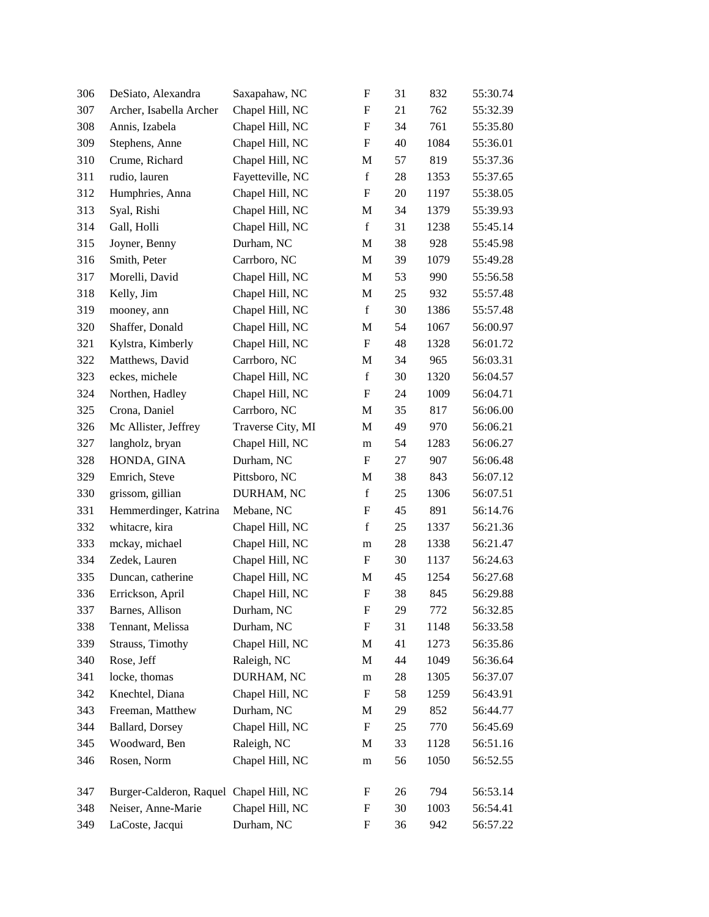| 306 | DeSiato, Alexandra                      | Saxapahaw, NC     | F                         | 31 | 832  | 55:30.74 |
|-----|-----------------------------------------|-------------------|---------------------------|----|------|----------|
| 307 | Archer, Isabella Archer                 | Chapel Hill, NC   | $\boldsymbol{\mathrm{F}}$ | 21 | 762  | 55:32.39 |
| 308 | Annis, Izabela                          | Chapel Hill, NC   | $\boldsymbol{\mathrm{F}}$ | 34 | 761  | 55:35.80 |
| 309 | Stephens, Anne                          | Chapel Hill, NC   | F                         | 40 | 1084 | 55:36.01 |
| 310 | Crume, Richard                          | Chapel Hill, NC   | M                         | 57 | 819  | 55:37.36 |
| 311 | rudio, lauren                           | Fayetteville, NC  | $\mathbf f$               | 28 | 1353 | 55:37.65 |
| 312 | Humphries, Anna                         | Chapel Hill, NC   | F                         | 20 | 1197 | 55:38.05 |
| 313 | Syal, Rishi                             | Chapel Hill, NC   | M                         | 34 | 1379 | 55:39.93 |
| 314 | Gall, Holli                             | Chapel Hill, NC   | $\mathbf f$               | 31 | 1238 | 55:45.14 |
| 315 | Joyner, Benny                           | Durham, NC        | M                         | 38 | 928  | 55:45.98 |
| 316 | Smith, Peter                            | Carrboro, NC      | $\mathbf M$               | 39 | 1079 | 55:49.28 |
| 317 | Morelli, David                          | Chapel Hill, NC   | M                         | 53 | 990  | 55:56.58 |
| 318 | Kelly, Jim                              | Chapel Hill, NC   | M                         | 25 | 932  | 55:57.48 |
| 319 | mooney, ann                             | Chapel Hill, NC   | $\mathbf f$               | 30 | 1386 | 55:57.48 |
| 320 | Shaffer, Donald                         | Chapel Hill, NC   | M                         | 54 | 1067 | 56:00.97 |
| 321 | Kylstra, Kimberly                       | Chapel Hill, NC   | $\boldsymbol{\mathrm{F}}$ | 48 | 1328 | 56:01.72 |
| 322 | Matthews, David                         | Carrboro, NC      | M                         | 34 | 965  | 56:03.31 |
| 323 | eckes, michele                          | Chapel Hill, NC   | $\mathbf f$               | 30 | 1320 | 56:04.57 |
| 324 | Northen, Hadley                         | Chapel Hill, NC   | F                         | 24 | 1009 | 56:04.71 |
| 325 | Crona, Daniel                           | Carrboro, NC      | M                         | 35 | 817  | 56:06.00 |
| 326 | Mc Allister, Jeffrey                    | Traverse City, MI | M                         | 49 | 970  | 56:06.21 |
| 327 | langholz, bryan                         | Chapel Hill, NC   | m                         | 54 | 1283 | 56:06.27 |
| 328 | HONDA, GINA                             | Durham, NC        | F                         | 27 | 907  | 56:06.48 |
| 329 | Emrich, Steve                           | Pittsboro, NC     | M                         | 38 | 843  | 56:07.12 |
| 330 | grissom, gillian                        | DURHAM, NC        | $\mathbf f$               | 25 | 1306 | 56:07.51 |
| 331 | Hemmerdinger, Katrina                   | Mebane, NC        | $\boldsymbol{\mathrm{F}}$ | 45 | 891  | 56:14.76 |
| 332 | whitacre, kira                          | Chapel Hill, NC   | $\mathbf f$               | 25 | 1337 | 56:21.36 |
| 333 | mckay, michael                          | Chapel Hill, NC   | m                         | 28 | 1338 | 56:21.47 |
| 334 | Zedek, Lauren                           | Chapel Hill, NC   | F                         | 30 | 1137 | 56:24.63 |
| 335 | Duncan, catherine                       | Chapel Hill, NC   | M                         | 45 | 1254 | 56:27.68 |
| 336 | Errickson, April                        | Chapel Hill, NC   | $\boldsymbol{\mathrm{F}}$ | 38 | 845  | 56:29.88 |
| 337 | Barnes, Allison                         | Durham, NC        | F                         | 29 | 772  | 56:32.85 |
| 338 | Tennant, Melissa                        | Durham, NC        | F                         | 31 | 1148 | 56:33.58 |
| 339 | Strauss, Timothy                        | Chapel Hill, NC   | M                         | 41 | 1273 | 56:35.86 |
| 340 | Rose, Jeff                              | Raleigh, NC       | M                         | 44 | 1049 | 56:36.64 |
| 341 | locke, thomas                           | DURHAM, NC        | m                         | 28 | 1305 | 56:37.07 |
| 342 | Knechtel, Diana                         | Chapel Hill, NC   | F                         | 58 | 1259 | 56:43.91 |
| 343 | Freeman, Matthew                        | Durham, NC        | M                         | 29 | 852  | 56:44.77 |
| 344 | Ballard, Dorsey                         | Chapel Hill, NC   | F                         | 25 | 770  | 56:45.69 |
| 345 | Woodward, Ben                           | Raleigh, NC       | M                         | 33 | 1128 | 56:51.16 |
| 346 | Rosen, Norm                             | Chapel Hill, NC   | m                         | 56 | 1050 | 56:52.55 |
| 347 | Burger-Calderon, Raquel Chapel Hill, NC |                   | F                         | 26 | 794  | 56:53.14 |
| 348 | Neiser, Anne-Marie                      | Chapel Hill, NC   | F                         | 30 | 1003 | 56:54.41 |
| 349 | LaCoste, Jacqui                         | Durham, NC        | F                         | 36 | 942  | 56:57.22 |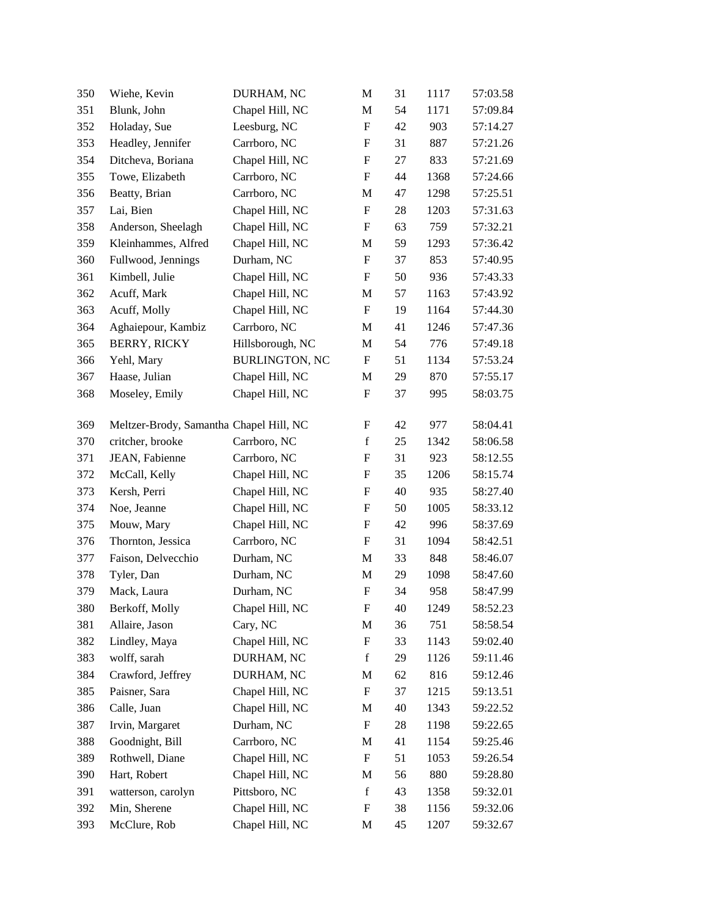| 350 | Wiehe, Kevin                            | DURHAM, NC            | M                         | 31 | 1117 | 57:03.58 |
|-----|-----------------------------------------|-----------------------|---------------------------|----|------|----------|
| 351 | Blunk, John                             | Chapel Hill, NC       | M                         | 54 | 1171 | 57:09.84 |
| 352 | Holaday, Sue                            | Leesburg, NC          | $\boldsymbol{\mathrm{F}}$ | 42 | 903  | 57:14.27 |
| 353 | Headley, Jennifer                       | Carrboro, NC          | F                         | 31 | 887  | 57:21.26 |
| 354 | Ditcheva, Boriana                       | Chapel Hill, NC       | $\boldsymbol{\mathrm{F}}$ | 27 | 833  | 57:21.69 |
| 355 | Towe, Elizabeth                         | Carrboro, NC          | $\boldsymbol{\mathrm{F}}$ | 44 | 1368 | 57:24.66 |
| 356 | Beatty, Brian                           | Carrboro, NC          | M                         | 47 | 1298 | 57:25.51 |
| 357 | Lai, Bien                               | Chapel Hill, NC       | $\boldsymbol{\mathrm{F}}$ | 28 | 1203 | 57:31.63 |
| 358 | Anderson, Sheelagh                      | Chapel Hill, NC       | F                         | 63 | 759  | 57:32.21 |
| 359 | Kleinhammes, Alfred                     | Chapel Hill, NC       | M                         | 59 | 1293 | 57:36.42 |
| 360 | Fullwood, Jennings                      | Durham, NC            | $\boldsymbol{\mathrm{F}}$ | 37 | 853  | 57:40.95 |
| 361 | Kimbell, Julie                          | Chapel Hill, NC       | F                         | 50 | 936  | 57:43.33 |
| 362 | Acuff, Mark                             | Chapel Hill, NC       | M                         | 57 | 1163 | 57:43.92 |
| 363 | Acuff, Molly                            | Chapel Hill, NC       | $\boldsymbol{\mathrm{F}}$ | 19 | 1164 | 57:44.30 |
| 364 | Aghaiepour, Kambiz                      | Carrboro, NC          | M                         | 41 | 1246 | 57:47.36 |
| 365 | <b>BERRY, RICKY</b>                     | Hillsborough, NC      | M                         | 54 | 776  | 57:49.18 |
| 366 | Yehl, Mary                              | <b>BURLINGTON, NC</b> | F                         | 51 | 1134 | 57:53.24 |
| 367 | Haase, Julian                           | Chapel Hill, NC       | M                         | 29 | 870  | 57:55.17 |
| 368 | Moseley, Emily                          | Chapel Hill, NC       | F                         | 37 | 995  | 58:03.75 |
| 369 | Meltzer-Brody, Samantha Chapel Hill, NC |                       | F                         | 42 | 977  | 58:04.41 |
| 370 | critcher, brooke                        | Carrboro, NC          | $\mathbf f$               | 25 | 1342 | 58:06.58 |
| 371 | JEAN, Fabienne                          | Carrboro, NC          | F                         | 31 | 923  | 58:12.55 |
| 372 | McCall, Kelly                           | Chapel Hill, NC       | $\boldsymbol{\mathrm{F}}$ | 35 | 1206 | 58:15.74 |
| 373 | Kersh, Perri                            | Chapel Hill, NC       | F                         | 40 | 935  | 58:27.40 |
| 374 | Noe, Jeanne                             | Chapel Hill, NC       | F                         | 50 | 1005 | 58:33.12 |
| 375 | Mouw, Mary                              | Chapel Hill, NC       | $\boldsymbol{\mathrm{F}}$ | 42 | 996  | 58:37.69 |
| 376 | Thornton, Jessica                       | Carrboro, NC          | F                         | 31 | 1094 | 58:42.51 |
| 377 | Faison, Delvecchio                      | Durham, NC            | M                         | 33 | 848  | 58:46.07 |
| 378 | Tyler, Dan                              | Durham, NC            | M                         | 29 | 1098 | 58:47.60 |
| 379 | Mack, Laura                             | Durham, NC            | F                         | 34 | 958  | 58:47.99 |
| 380 | Berkoff, Molly                          | Chapel Hill, NC       | $\boldsymbol{\mathrm{F}}$ | 40 | 1249 | 58:52.23 |
| 381 | Allaire, Jason                          | Cary, NC              | M                         | 36 | 751  | 58:58.54 |
| 382 | Lindley, Maya                           | Chapel Hill, NC       | ${\bf F}$                 | 33 | 1143 | 59:02.40 |
| 383 | wolff, sarah                            | DURHAM, NC            | f                         | 29 | 1126 | 59:11.46 |
| 384 | Crawford, Jeffrey                       | DURHAM, NC            | M                         | 62 | 816  | 59:12.46 |
| 385 | Paisner, Sara                           | Chapel Hill, NC       | ${\bf F}$                 | 37 | 1215 | 59:13.51 |
| 386 | Calle, Juan                             | Chapel Hill, NC       | M                         | 40 | 1343 | 59:22.52 |
| 387 | Irvin, Margaret                         | Durham, NC            | ${\bf F}$                 | 28 | 1198 | 59:22.65 |
| 388 | Goodnight, Bill                         | Carrboro, NC          | M                         | 41 | 1154 | 59:25.46 |
| 389 | Rothwell, Diane                         | Chapel Hill, NC       | $\boldsymbol{\mathrm{F}}$ | 51 | 1053 | 59:26.54 |
| 390 | Hart, Robert                            | Chapel Hill, NC       | M                         | 56 | 880  | 59:28.80 |
| 391 | watterson, carolyn                      | Pittsboro, NC         | $\mathbf f$               | 43 | 1358 | 59:32.01 |
| 392 | Min, Sherene                            | Chapel Hill, NC       | $\mathbf F$               | 38 | 1156 | 59:32.06 |
| 393 | McClure, Rob                            | Chapel Hill, NC       | M                         | 45 | 1207 | 59:32.67 |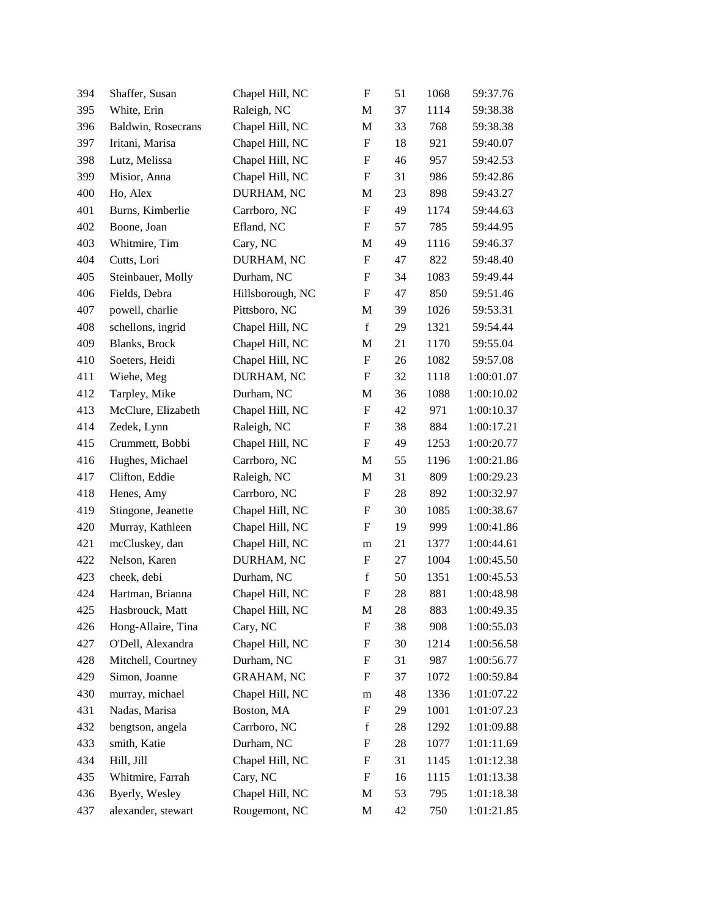| 394 | Shaffer, Susan        | Chapel Hill, NC   | $\boldsymbol{\mathrm{F}}$ | 51 | 1068 | 59:37.76   |
|-----|-----------------------|-------------------|---------------------------|----|------|------------|
| 395 | White, Erin           | Raleigh, NC       | M                         | 37 | 1114 | 59:38.38   |
| 396 | Baldwin, Rosecrans    | Chapel Hill, NC   | M                         | 33 | 768  | 59:38.38   |
| 397 | Iritani, Marisa       | Chapel Hill, NC   | $\boldsymbol{\mathrm{F}}$ | 18 | 921  | 59:40.07   |
| 398 | Lutz, Melissa         | Chapel Hill, NC   | F                         | 46 | 957  | 59:42.53   |
| 399 | Misior, Anna          | Chapel Hill, NC   | $\boldsymbol{\mathrm{F}}$ | 31 | 986  | 59:42.86   |
| 400 | Ho, Alex              | DURHAM, NC        | M                         | 23 | 898  | 59:43.27   |
| 401 | Burns, Kimberlie      | Carrboro, NC      | F                         | 49 | 1174 | 59:44.63   |
| 402 | Boone, Joan           | Efland, NC        | F                         | 57 | 785  | 59:44.95   |
| 403 | Whitmire, Tim         | Cary, NC          | M                         | 49 | 1116 | 59:46.37   |
| 404 | Cutts, Lori           | DURHAM, NC        | $\boldsymbol{\mathrm{F}}$ | 47 | 822  | 59:48.40   |
| 405 | Steinbauer, Molly     | Durham, NC        | F                         | 34 | 1083 | 59:49.44   |
| 406 | Fields, Debra         | Hillsborough, NC  | F                         | 47 | 850  | 59:51.46   |
| 407 | powell, charlie       | Pittsboro, NC     | M                         | 39 | 1026 | 59:53.31   |
| 408 | schellons, ingrid     | Chapel Hill, NC   | $\mathbf f$               | 29 | 1321 | 59:54.44   |
| 409 | <b>Blanks</b> , Brock | Chapel Hill, NC   | M                         | 21 | 1170 | 59:55.04   |
| 410 | Soeters, Heidi        | Chapel Hill, NC   | F                         | 26 | 1082 | 59:57.08   |
| 411 | Wiehe, Meg            | DURHAM, NC        | F                         | 32 | 1118 | 1:00:01.07 |
| 412 | Tarpley, Mike         | Durham, NC        | M                         | 36 | 1088 | 1:00:10.02 |
| 413 | McClure, Elizabeth    | Chapel Hill, NC   | F                         | 42 | 971  | 1:00:10.37 |
| 414 | Zedek, Lynn           | Raleigh, NC       | F                         | 38 | 884  | 1:00:17.21 |
| 415 | Crummett, Bobbi       | Chapel Hill, NC   | F                         | 49 | 1253 | 1:00:20.77 |
| 416 | Hughes, Michael       | Carrboro, NC      | M                         | 55 | 1196 | 1:00:21.86 |
| 417 | Clifton, Eddie        | Raleigh, NC       | M                         | 31 | 809  | 1:00:29.23 |
| 418 | Henes, Amy            | Carrboro, NC      | F                         | 28 | 892  | 1:00:32.97 |
| 419 | Stingone, Jeanette    | Chapel Hill, NC   | F                         | 30 | 1085 | 1:00:38.67 |
| 420 | Murray, Kathleen      | Chapel Hill, NC   | F                         | 19 | 999  | 1:00:41.86 |
| 421 | mcCluskey, dan        | Chapel Hill, NC   | m                         | 21 | 1377 | 1:00:44.61 |
| 422 | Nelson, Karen         | DURHAM, NC        | F                         | 27 | 1004 | 1:00:45.50 |
| 423 | cheek, debi           | Durham, NC        | $\mathbf f$               | 50 | 1351 | 1:00:45.53 |
| 424 | Hartman, Brianna      | Chapel Hill, NC   | $\boldsymbol{\mathrm{F}}$ | 28 | 881  | 1:00:48.98 |
| 425 | Hasbrouck, Matt       | Chapel Hill, NC   | M                         | 28 | 883  | 1:00:49.35 |
| 426 | Hong-Allaire, Tina    | Cary, NC          | F                         | 38 | 908  | 1:00:55.03 |
| 427 | O'Dell, Alexandra     | Chapel Hill, NC   | F                         | 30 | 1214 | 1:00:56.58 |
| 428 | Mitchell, Courtney    | Durham, NC        | F                         | 31 | 987  | 1:00:56.77 |
| 429 | Simon, Joanne         | <b>GRAHAM, NC</b> | F                         | 37 | 1072 | 1:00:59.84 |
| 430 | murray, michael       | Chapel Hill, NC   | m                         | 48 | 1336 | 1:01:07.22 |
| 431 | Nadas, Marisa         | Boston, MA        | F                         | 29 | 1001 | 1:01:07.23 |
| 432 | bengtson, angela      | Carrboro, NC      | $\mathbf f$               | 28 | 1292 | 1:01:09.88 |
| 433 | smith, Katie          | Durham, NC        | F                         | 28 | 1077 | 1:01:11.69 |
| 434 | Hill, Jill            | Chapel Hill, NC   | F                         | 31 | 1145 | 1:01:12.38 |
| 435 | Whitmire, Farrah      | Cary, NC          | F                         | 16 | 1115 | 1:01:13.38 |
| 436 | Byerly, Wesley        | Chapel Hill, NC   | M                         | 53 | 795  | 1:01:18.38 |
| 437 | alexander, stewart    | Rougemont, NC     | M                         | 42 | 750  | 1:01:21.85 |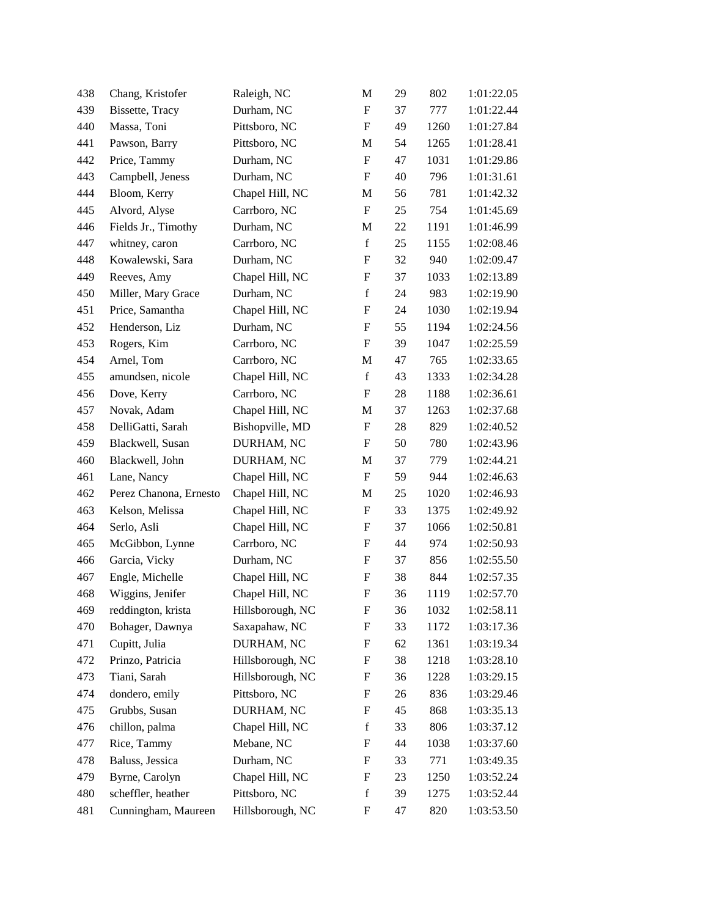| 438 | Chang, Kristofer       | Raleigh, NC      | M                         | 29 | 802  | 1:01:22.05 |
|-----|------------------------|------------------|---------------------------|----|------|------------|
| 439 | Bissette, Tracy        | Durham, NC       | F                         | 37 | 777  | 1:01:22.44 |
| 440 | Massa, Toni            | Pittsboro, NC    | $\boldsymbol{\mathrm{F}}$ | 49 | 1260 | 1:01:27.84 |
| 441 | Pawson, Barry          | Pittsboro, NC    | M                         | 54 | 1265 | 1:01:28.41 |
| 442 | Price, Tammy           | Durham, NC       | $\boldsymbol{\mathrm{F}}$ | 47 | 1031 | 1:01:29.86 |
| 443 | Campbell, Jeness       | Durham, NC       | $\boldsymbol{\mathrm{F}}$ | 40 | 796  | 1:01:31.61 |
| 444 | Bloom, Kerry           | Chapel Hill, NC  | M                         | 56 | 781  | 1:01:42.32 |
| 445 | Alvord, Alyse          | Carrboro, NC     | $\boldsymbol{\mathrm{F}}$ | 25 | 754  | 1:01:45.69 |
| 446 | Fields Jr., Timothy    | Durham, NC       | M                         | 22 | 1191 | 1:01:46.99 |
| 447 | whitney, caron         | Carrboro, NC     | $\mathbf f$               | 25 | 1155 | 1:02:08.46 |
| 448 | Kowalewski, Sara       | Durham, NC       | $\boldsymbol{\mathrm{F}}$ | 32 | 940  | 1:02:09.47 |
| 449 | Reeves, Amy            | Chapel Hill, NC  | F                         | 37 | 1033 | 1:02:13.89 |
| 450 | Miller, Mary Grace     | Durham, NC       | $\mathbf f$               | 24 | 983  | 1:02:19.90 |
| 451 | Price, Samantha        | Chapel Hill, NC  | F                         | 24 | 1030 | 1:02:19.94 |
| 452 | Henderson, Liz         | Durham, NC       | $\boldsymbol{\mathrm{F}}$ | 55 | 1194 | 1:02:24.56 |
| 453 | Rogers, Kim            | Carrboro, NC     | $\boldsymbol{\mathrm{F}}$ | 39 | 1047 | 1:02:25.59 |
| 454 | Arnel, Tom             | Carrboro, NC     | M                         | 47 | 765  | 1:02:33.65 |
| 455 | amundsen, nicole       | Chapel Hill, NC  | $\mathbf f$               | 43 | 1333 | 1:02:34.28 |
| 456 | Dove, Kerry            | Carrboro, NC     | F                         | 28 | 1188 | 1:02:36.61 |
| 457 | Novak, Adam            | Chapel Hill, NC  | M                         | 37 | 1263 | 1:02:37.68 |
| 458 | DelliGatti, Sarah      | Bishopville, MD  | $\boldsymbol{\mathrm{F}}$ | 28 | 829  | 1:02:40.52 |
| 459 | Blackwell, Susan       | DURHAM, NC       | F                         | 50 | 780  | 1:02:43.96 |
| 460 | Blackwell, John        | DURHAM, NC       | M                         | 37 | 779  | 1:02:44.21 |
| 461 | Lane, Nancy            | Chapel Hill, NC  | $\boldsymbol{\mathrm{F}}$ | 59 | 944  | 1:02:46.63 |
| 462 | Perez Chanona, Ernesto | Chapel Hill, NC  | M                         | 25 | 1020 | 1:02:46.93 |
| 463 | Kelson, Melissa        | Chapel Hill, NC  | $\boldsymbol{\mathrm{F}}$ | 33 | 1375 | 1:02:49.92 |
| 464 | Serlo, Asli            | Chapel Hill, NC  | F                         | 37 | 1066 | 1:02:50.81 |
| 465 | McGibbon, Lynne        | Carrboro, NC     | F                         | 44 | 974  | 1:02:50.93 |
| 466 | Garcia, Vicky          | Durham, NC       | F                         | 37 | 856  | 1:02:55.50 |
| 467 | Engle, Michelle        | Chapel Hill, NC  | F                         | 38 | 844  | 1:02:57.35 |
| 468 | Wiggins, Jenifer       | Chapel Hill, NC  | $\boldsymbol{\mathrm{F}}$ | 36 | 1119 | 1:02:57.70 |
| 469 | reddington, krista     | Hillsborough, NC | F                         | 36 | 1032 | 1:02:58.11 |
| 470 | Bohager, Dawnya        | Saxapahaw, NC    | F                         | 33 | 1172 | 1:03:17.36 |
| 471 | Cupitt, Julia          | DURHAM, NC       | F                         | 62 | 1361 | 1:03:19.34 |
| 472 | Prinzo, Patricia       | Hillsborough, NC | F                         | 38 | 1218 | 1:03:28.10 |
| 473 | Tiani, Sarah           | Hillsborough, NC | F                         | 36 | 1228 | 1:03:29.15 |
| 474 | dondero, emily         | Pittsboro, NC    | F                         | 26 | 836  | 1:03:29.46 |
| 475 | Grubbs, Susan          | DURHAM, NC       | F                         | 45 | 868  | 1:03:35.13 |
| 476 | chillon, palma         | Chapel Hill, NC  | f                         | 33 | 806  | 1:03:37.12 |
| 477 | Rice, Tammy            | Mebane, NC       | F                         | 44 | 1038 | 1:03:37.60 |
| 478 | Baluss, Jessica        | Durham, NC       | F                         | 33 | 771  | 1:03:49.35 |
| 479 | Byrne, Carolyn         | Chapel Hill, NC  | F                         | 23 | 1250 | 1:03:52.24 |
| 480 | scheffler, heather     | Pittsboro, NC    | $\mathbf f$               | 39 | 1275 | 1:03:52.44 |
| 481 | Cunningham, Maureen    | Hillsborough, NC | F                         | 47 | 820  | 1:03:53.50 |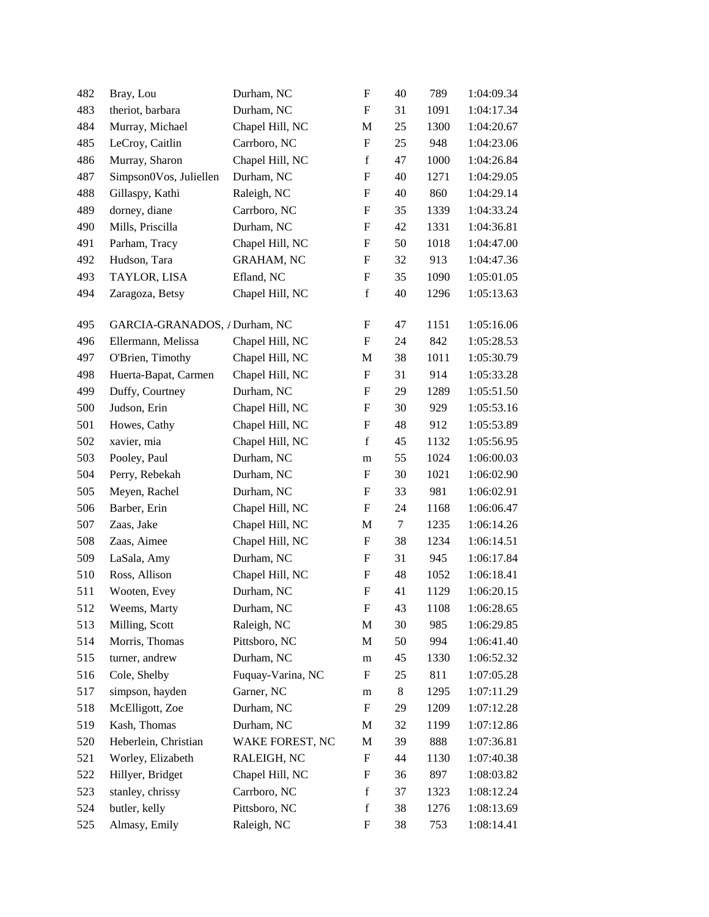| 482 | Bray, Lou                     | Durham, NC        | F                         | 40 | 789  | 1:04:09.34 |
|-----|-------------------------------|-------------------|---------------------------|----|------|------------|
| 483 | theriot, barbara              | Durham, NC        | F                         | 31 | 1091 | 1:04:17.34 |
| 484 | Murray, Michael               | Chapel Hill, NC   | M                         | 25 | 1300 | 1:04:20.67 |
| 485 | LeCroy, Caitlin               | Carrboro, NC      | F                         | 25 | 948  | 1:04:23.06 |
| 486 | Murray, Sharon                | Chapel Hill, NC   | $\mathbf f$               | 47 | 1000 | 1:04:26.84 |
| 487 | Simpson0Vos, Juliellen        | Durham, NC        | F                         | 40 | 1271 | 1:04:29.05 |
| 488 | Gillaspy, Kathi               | Raleigh, NC       | F                         | 40 | 860  | 1:04:29.14 |
| 489 | dorney, diane                 | Carrboro, NC      | $\boldsymbol{\mathrm{F}}$ | 35 | 1339 | 1:04:33.24 |
| 490 | Mills, Priscilla              | Durham, NC        | F                         | 42 | 1331 | 1:04:36.81 |
| 491 | Parham, Tracy                 | Chapel Hill, NC   | F                         | 50 | 1018 | 1:04:47.00 |
| 492 | Hudson, Tara                  | <b>GRAHAM, NC</b> | F                         | 32 | 913  | 1:04:47.36 |
| 493 | TAYLOR, LISA                  | Efland, NC        | F                         | 35 | 1090 | 1:05:01.05 |
| 494 | Zaragoza, Betsy               | Chapel Hill, NC   | $\mathbf f$               | 40 | 1296 | 1:05:13.63 |
| 495 | GARCIA-GRANADOS, / Durham, NC |                   | F                         | 47 | 1151 | 1:05:16.06 |
| 496 | Ellermann, Melissa            | Chapel Hill, NC   | F                         | 24 | 842  | 1:05:28.53 |
| 497 | O'Brien, Timothy              | Chapel Hill, NC   | M                         | 38 | 1011 | 1:05:30.79 |
| 498 | Huerta-Bapat, Carmen          | Chapel Hill, NC   | F                         | 31 | 914  | 1:05:33.28 |
| 499 | Duffy, Courtney               | Durham, NC        | F                         | 29 | 1289 | 1:05:51.50 |
| 500 | Judson, Erin                  | Chapel Hill, NC   | F                         | 30 | 929  | 1:05:53.16 |
| 501 | Howes, Cathy                  | Chapel Hill, NC   | $\boldsymbol{\mathrm{F}}$ | 48 | 912  | 1:05:53.89 |
| 502 | xavier, mia                   | Chapel Hill, NC   | $\mathbf f$               | 45 | 1132 | 1:05:56.95 |
| 503 | Pooley, Paul                  | Durham, NC        | m                         | 55 | 1024 | 1:06:00.03 |
| 504 | Perry, Rebekah                | Durham, NC        | F                         | 30 | 1021 | 1:06:02.90 |
| 505 | Meyen, Rachel                 | Durham, NC        | F                         | 33 | 981  | 1:06:02.91 |
| 506 | Barber, Erin                  | Chapel Hill, NC   | F                         | 24 | 1168 | 1:06:06.47 |
| 507 | Zaas, Jake                    | Chapel Hill, NC   | M                         | 7  | 1235 | 1:06:14.26 |
| 508 | Zaas, Aimee                   | Chapel Hill, NC   | F                         | 38 | 1234 | 1:06:14.51 |
| 509 | LaSala, Amy                   | Durham, NC        | F                         | 31 | 945  | 1:06:17.84 |
| 510 | Ross, Allison                 | Chapel Hill, NC   | F                         | 48 | 1052 | 1:06:18.41 |
| 511 | Wooten, Evey                  | Durham, NC        | $\boldsymbol{\mathrm{F}}$ | 41 | 1129 | 1:06:20.15 |
| 512 | Weems, Marty                  | Durham, NC        | $\mathbf F$               | 43 | 1108 | 1:06:28.65 |
| 513 | Milling, Scott                | Raleigh, NC       | M                         | 30 | 985  | 1:06:29.85 |
| 514 | Morris, Thomas                | Pittsboro, NC     | M                         | 50 | 994  | 1:06:41.40 |
| 515 | turner, andrew                | Durham, NC        | m                         | 45 | 1330 | 1:06:52.32 |
| 516 | Cole, Shelby                  | Fuquay-Varina, NC | F                         | 25 | 811  | 1:07:05.28 |
| 517 | simpson, hayden               | Garner, NC        | m                         | 8  | 1295 | 1:07:11.29 |
| 518 | McElligott, Zoe               | Durham, NC        | F                         | 29 | 1209 | 1:07:12.28 |
| 519 | Kash, Thomas                  | Durham, NC        | M                         | 32 | 1199 | 1:07:12.86 |
| 520 | Heberlein, Christian          | WAKE FOREST, NC   | M                         | 39 | 888  | 1:07:36.81 |
| 521 | Worley, Elizabeth             | RALEIGH, NC       | F                         | 44 | 1130 | 1:07:40.38 |
| 522 | Hillyer, Bridget              | Chapel Hill, NC   | F                         | 36 | 897  | 1:08:03.82 |
| 523 | stanley, chrissy              | Carrboro, NC      | f                         | 37 | 1323 | 1:08:12.24 |
| 524 | butler, kelly                 | Pittsboro, NC     | $\mathbf f$               | 38 | 1276 | 1:08:13.69 |
| 525 | Almasy, Emily                 | Raleigh, NC       | F                         | 38 | 753  | 1:08:14.41 |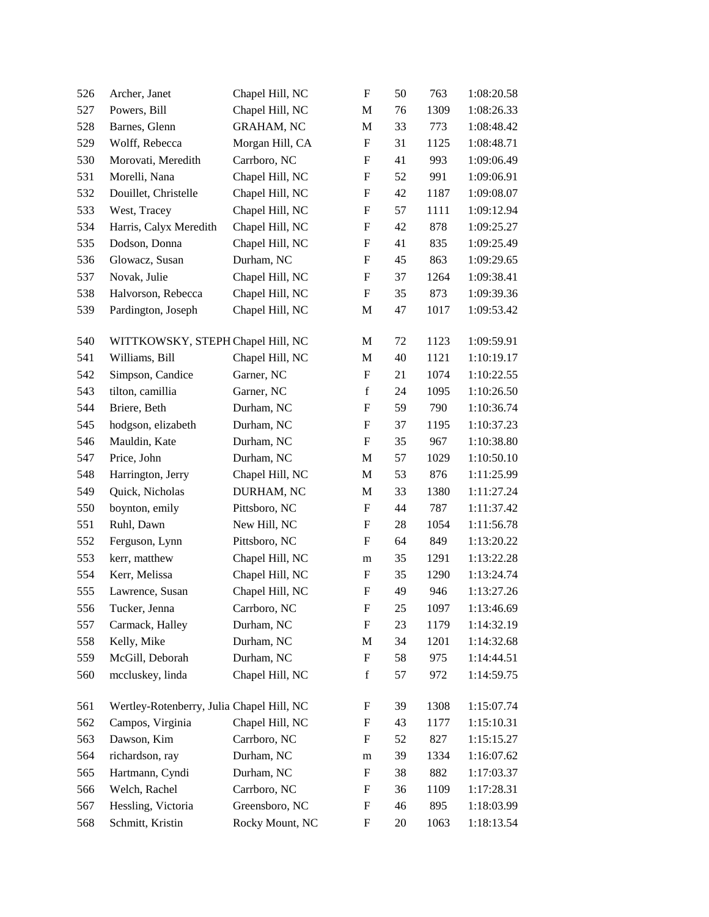| 526 | Archer, Janet                             | Chapel Hill, NC   | F                         | 50 | 763  | 1:08:20.58 |
|-----|-------------------------------------------|-------------------|---------------------------|----|------|------------|
| 527 | Powers, Bill                              | Chapel Hill, NC   | M                         | 76 | 1309 | 1:08:26.33 |
| 528 | Barnes, Glenn                             | <b>GRAHAM, NC</b> | $\mathbf M$               | 33 | 773  | 1:08:48.42 |
| 529 | Wolff, Rebecca                            | Morgan Hill, CA   | F                         | 31 | 1125 | 1:08:48.71 |
| 530 | Morovati, Meredith                        | Carrboro, NC      | $\boldsymbol{\mathrm{F}}$ | 41 | 993  | 1:09:06.49 |
| 531 | Morelli, Nana                             | Chapel Hill, NC   | F                         | 52 | 991  | 1:09:06.91 |
| 532 | Douillet, Christelle                      | Chapel Hill, NC   | F                         | 42 | 1187 | 1:09:08.07 |
| 533 | West, Tracey                              | Chapel Hill, NC   | $\boldsymbol{\mathrm{F}}$ | 57 | 1111 | 1:09:12.94 |
| 534 | Harris, Calyx Meredith                    | Chapel Hill, NC   | F                         | 42 | 878  | 1:09:25.27 |
| 535 | Dodson, Donna                             | Chapel Hill, NC   | $\boldsymbol{\mathrm{F}}$ | 41 | 835  | 1:09:25.49 |
| 536 | Glowacz, Susan                            | Durham, NC        | F                         | 45 | 863  | 1:09:29.65 |
| 537 | Novak, Julie                              | Chapel Hill, NC   | F                         | 37 | 1264 | 1:09:38.41 |
| 538 | Halvorson, Rebecca                        | Chapel Hill, NC   | $\boldsymbol{\mathrm{F}}$ | 35 | 873  | 1:09:39.36 |
| 539 | Pardington, Joseph                        | Chapel Hill, NC   | $\mathbf M$               | 47 | 1017 | 1:09:53.42 |
| 540 | WITTKOWSKY, STEPH Chapel Hill, NC         |                   | M                         | 72 | 1123 | 1:09:59.91 |
| 541 | Williams, Bill                            | Chapel Hill, NC   | M                         | 40 | 1121 | 1:10:19.17 |
| 542 | Simpson, Candice                          | Garner, NC        | F                         | 21 | 1074 | 1:10:22.55 |
| 543 | tilton, camillia                          | Garner, NC        | $\mathbf f$               | 24 | 1095 | 1:10:26.50 |
| 544 | Briere, Beth                              | Durham, NC        | $\boldsymbol{\mathrm{F}}$ | 59 | 790  | 1:10:36.74 |
| 545 | hodgson, elizabeth                        | Durham, NC        | $\boldsymbol{\mathrm{F}}$ | 37 | 1195 | 1:10:37.23 |
| 546 | Mauldin, Kate                             | Durham, NC        | $\boldsymbol{\mathrm{F}}$ | 35 | 967  | 1:10:38.80 |
| 547 | Price, John                               | Durham, NC        | M                         | 57 | 1029 | 1:10:50.10 |
| 548 | Harrington, Jerry                         | Chapel Hill, NC   | M                         | 53 | 876  | 1:11:25.99 |
| 549 | Quick, Nicholas                           | DURHAM, NC        | M                         | 33 | 1380 | 1:11:27.24 |
| 550 | boynton, emily                            | Pittsboro, NC     | $\boldsymbol{\mathrm{F}}$ | 44 | 787  | 1:11:37.42 |
| 551 | Ruhl, Dawn                                | New Hill, NC      | F                         | 28 | 1054 | 1:11:56.78 |
| 552 | Ferguson, Lynn                            | Pittsboro, NC     | F                         | 64 | 849  | 1:13:20.22 |
| 553 | kerr, matthew                             | Chapel Hill, NC   | m                         | 35 | 1291 | 1:13:22.28 |
| 554 | Kerr, Melissa                             | Chapel Hill, NC   | F                         | 35 | 1290 | 1:13:24.74 |
| 555 | Lawrence, Susan                           | Chapel Hill, NC   | $\boldsymbol{\mathrm{F}}$ | 49 | 946  | 1:13:27.26 |
| 556 | Tucker, Jenna                             | Carrboro, NC      | $\mathbf F$               | 25 | 1097 | 1:13:46.69 |
| 557 | Carmack, Halley                           | Durham, NC        | F                         | 23 | 1179 | 1:14:32.19 |
| 558 | Kelly, Mike                               | Durham, NC        | $\mathbf M$               | 34 | 1201 | 1:14:32.68 |
| 559 | McGill, Deborah                           | Durham, NC        | F                         | 58 | 975  | 1:14:44.51 |
| 560 | mccluskey, linda                          | Chapel Hill, NC   | $\mathbf f$               | 57 | 972  | 1:14:59.75 |
| 561 | Wertley-Rotenberry, Julia Chapel Hill, NC |                   | F                         | 39 | 1308 | 1:15:07.74 |
| 562 | Campos, Virginia                          | Chapel Hill, NC   | F                         | 43 | 1177 | 1:15:10.31 |
| 563 | Dawson, Kim                               | Carrboro, NC      | F                         | 52 | 827  | 1:15:15.27 |
| 564 | richardson, ray                           | Durham, NC        | m                         | 39 | 1334 | 1:16:07.62 |
| 565 | Hartmann, Cyndi                           | Durham, NC        | F                         | 38 | 882  | 1:17:03.37 |
| 566 | Welch, Rachel                             | Carrboro, NC      | F                         | 36 | 1109 | 1:17:28.31 |
| 567 | Hessling, Victoria                        | Greensboro, NC    | F                         | 46 | 895  | 1:18:03.99 |
| 568 | Schmitt, Kristin                          | Rocky Mount, NC   | F                         | 20 | 1063 | 1:18:13.54 |